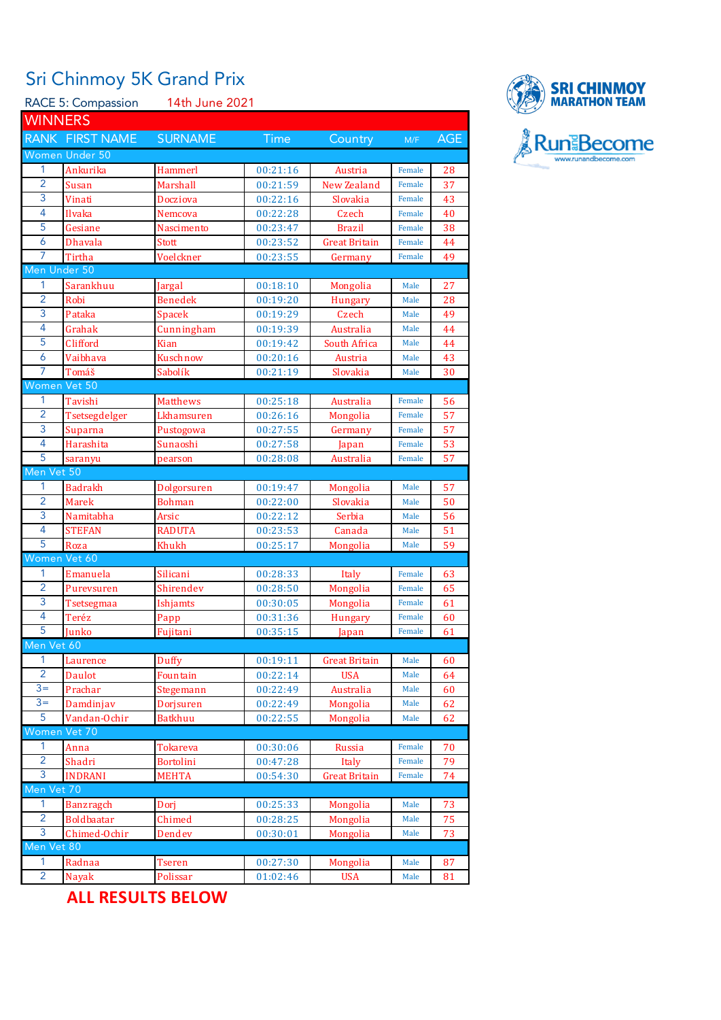## Sri Chinmoy 5K Grand Prix

RACE 5: Compassion 14th June 2021 **WINNERS** RANK FIRST NAME SURNAME Time Country M/F AGE Women Under 50 1 Ankurika Hammerl 00:21:16 Austria Female 28 2 Susan Marshall 00:21:59 New Zealand Female 37 3 Vinati Docziova 00:22:16 Slovakia Female 43 4 Ilvaka Nemcova 00:22:28 Czech Female 40 5 Gesiane Nascimento 00:23:47 Brazil Female 38 6 Dhavala Stott 00:23:52 Great Britain Female 44 7 Tirtha **Voelckner** 00:23:55 Germany Female 49 Men Under 50 1 Sarankhuu Jargal 00:18:10 Mongolia Male 27 2 Robi Benedek 00:19:20 Hungary Male 28 3 Pataka Spacek 00:19:29 Czech Male 49 4 Grahak Cunningham 00:19:39 Australia Male 44 5 Clifford Kian 00:19:42 South Africa Male 44 6 Vaibhava Kuschnow 00:20:16 Austria Male 43 7 Tomáš Sabolík 00:21:19 Slovakia Male 30 Women Vet 50 1 Tavishi Matthews 00:25:18 Australia Female 56 2 Tsetsegdelger Lkhamsuren 00:26:16 Mongolia Female 57 3 Suparna Pustogowa 00:27:55 Germany Female 57 4 Harashita Sunaoshi 00:27:58 Japan Female 53 5 saranyu pearson 00:28:08 Australia Female 57 Men Vet 50 1 Badrakh Dolgorsuren 00:19:47 Mongolia Male 57 2 Marek Bohman 00:22:00 Slovakia Male 50 3 Namitabha **Arsic** 00:22:12 Serbia Male 56 4 STEFAN RADUTA 00:23:53 Canada Male 51 5 Roza Khukh 00:25:17 Mongolia Male 59 'omen Vet 60 1 Emanuela Silicani 00:28:33 Italy Female 63 2 Purevsuren Shirendev 00:28:50 Mongolia Female 65 3 Tsetsegmaa Ishjamts 00:30:05 Mongolia Female 61 4 Teréz Papp 00:31:36 Hungary Female 60 5 Junko Fujitani 00:35:15 Japan Female 61 Men Vet 60 Laurence **Duffy** 00:19:11 Great Britain Male 60 2 Daulot Fountain 00:22:14 USA Male 64 3= Prachar Stegemann 00:22:49 Australia Male 60 3= Damdinjav Dorjsuren 00:22:49 Mongolia Male 62 5 Vandan-Ochir Batkhuu 00:22:55 Mongolia Male 62 omen Vet 70 1 Anna 1 Tokareva 1 00:30:06 Russia Female 70 2 Shadri Bortolini 00:47:28 Italy Female 79 3 INDRANI MEHTA 00:54:30 Great Britain Female 74 len Vet 1 Banzragch Dori 1 00:25:33 Mongolia Male 73 2 Boldbaatar Chimed 00:28:25 Mongolia Male 75 3 Chimed-Ochir Dendev 00:30:01 Mongolia Male 73 en Vet 80 1 Radnaa Tseren 00:27:30 Mongolia Male 87

2 Nayak Polissar 01:02:46 USA Male 81

**ALL RESULTS BELOW**

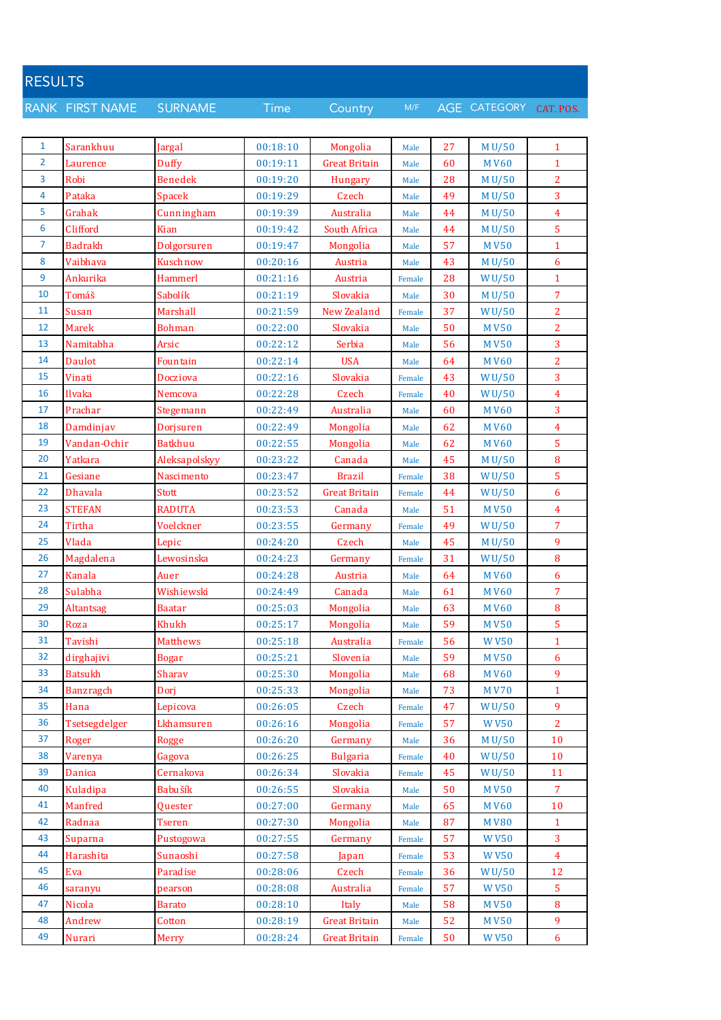| <b>RESULTS</b> |                  |                 |             |                      |        |    |              |                  |
|----------------|------------------|-----------------|-------------|----------------------|--------|----|--------------|------------------|
|                | RANK FIRST NAME  | <b>SURNAME</b>  | <b>Time</b> | Country              | M/F    |    | AGE CATEGORY | CAT. POS.        |
|                |                  |                 |             |                      |        |    |              |                  |
| $\mathbf{1}$   | Sarankhuu        | Jargal          | 00:18:10    | Mongolia             | Male   | 27 | M U/50       | $\mathbf{1}$     |
| $\overline{2}$ | Laurence         | Duffy           | 00:19:11    | <b>Great Britain</b> | Male   | 60 | <b>MV60</b>  | $\mathbf{1}$     |
| 3              | Robi             | <b>Benedek</b>  | 00:19:20    | Hungary              | Male   | 28 | M U/50       | $\overline{2}$   |
| 4              | Pataka           | <b>Spacek</b>   | 00:19:29    | Czech                | Male   | 49 | M U/50       | 3                |
| 5              | Grahak           | Cunningham      | 00:19:39    | Australia            | Male   | 44 | M U/50       | $\overline{4}$   |
| 6              | Clifford         | Kian            | 00:19:42    | South Africa         | Male   | 44 | M U/50       | 5                |
| $\overline{7}$ | <b>Badrakh</b>   | Dolgorsuren     | 00:19:47    | Mongolia             | Male   | 57 | <b>MV50</b>  | $\mathbf{1}$     |
| 8              | Vaibhava         | Kuschnow        | 00:20:16    | Austria              | Male   | 43 | M U/50       | 6                |
| 9              | Ankurika         | <b>Hammerl</b>  | 00:21:16    | Austria              | Female | 28 | WU/50        | $\mathbf{1}$     |
| 10             | Tomáš            | Sabolík         | 00:21:19    | Slovakia             | Male   | 30 | M U/50       | 7                |
| 11             | Susan            | Marshall        | 00:21:59    | <b>New Zealand</b>   | Female | 37 | WU/50        | 2                |
| 12             | <b>Marek</b>     | Bohman          | 00:22:00    | Slovakia             | Male   | 50 | <b>MV50</b>  | $\overline{c}$   |
| 13             | Namitabha        | Arsic           | 00:22:12    | Serbia               | Male   | 56 | <b>MV50</b>  | 3                |
| 14             | Daulot           | Fountain        | 00:22:14    | <b>USA</b>           |        | 64 | <b>MV60</b>  | $\overline{2}$   |
| 15             | Vinati           | Docziova        |             |                      | Male   |    |              |                  |
| 16             | Ilvaka           |                 | 00:22:16    | Slovakia             | Female | 43 | WU/50        | 3                |
| 17             |                  | Nemcova         | 00:22:28    | Czech                | Female | 40 | WU/50        | 4                |
|                | Prachar          | Stegemann       | 00:22:49    | Australia            | Male   | 60 | <b>MV60</b>  | 3                |
| 18             | Damdinjav        | Dorjsuren       | 00:22:49    | Mongolia             | Male   | 62 | <b>MV60</b>  | $\overline{4}$   |
| 19             | Vandan-Ochir     | Batkhuu         | 00:22:55    | Mongolia             | Male   | 62 | <b>MV60</b>  | 5                |
| 20             | Yatkara          | Aleksapolskyy   | 00:23:22    | Canada               | Male   | 45 | M U/50       | $\bf 8$          |
| 21             | Gesiane          | Nascimento      | 00:23:47    | <b>Brazil</b>        | Female | 38 | WU/50        | 5                |
| 22             | <b>Dhavala</b>   | Stott           | 00:23:52    | <b>Great Britain</b> | Female | 44 | WU/50        | 6                |
| 23             | <b>STEFAN</b>    | RADUTA          | 00:23:53    | Canada               | Male   | 51 | <b>MV50</b>  | $\overline{4}$   |
| 24             | Tirtha           | Voelckner       | 00:23:55    | Germany              | Female | 49 | WU/50        | $\overline{7}$   |
| 25             | Vlada            | Lepic           | 00:24:20    | Czech                | Male   | 45 | M U/50       | 9                |
| 26             | Magdalena        | Lewosinska      | 00:24:23    | Germany              | Female | 31 | WU/50        | $\bf 8$          |
| 27             | Kanala           | Auer            | 00:24:28    | Austria              | Male   | 64 | <b>MV60</b>  | 6                |
| 28             | Sulabha          | Wishiewski      | 00:24:49    | Canada               | Male   | 61 | <b>MV60</b>  | 7                |
| 29             | Altantsag        | <b>Baatar</b>   | 00:25:03    | Mongolia             | Male   | 63 | <b>MV60</b>  | 8                |
| 30             | Roza             | Khukh           | 00:25:17    | Mongolia             | Male   | 59 | M V50        | 5                |
| 31             | Tavishi          | <b>Matthews</b> | 00:25:18    | Australia            | Female | 56 | <b>WV50</b>  | $\mathbf{1}$     |
| 32             | dirghajivi       | <b>Bogar</b>    | 00:25:21    | Slovenia             | Male   | 59 | <b>MV50</b>  | 6                |
| 33             | <b>Batsukh</b>   | Sharav          | 00:25:30    | Mongolia             | Male   | 68 | <b>MV60</b>  | 9                |
| 34             | <b>Banzragch</b> | Dorj            | 00:25:33    | Mongolia             | Male   | 73 | <b>MV70</b>  | $\mathbf{1}$     |
| 35             | Hana             | Lepicova        | 00:26:05    | Czech                | Female | 47 | WU/50        | 9                |
| 36             | Tsetsegdelger    | Lkhamsuren      | 00:26:16    | Mongolia             | Female | 57 | <b>WV50</b>  | $\overline{2}$   |
| 37             | Roger            | Rogge           | 00:26:20    | Germany              | Male   | 36 | M U/50       | 10               |
| 38             | Varenya          | Gagova          | 00:26:25    | <b>Bulgaria</b>      | Female | 40 | WU/50        | 10               |
| 39             | Danica           | Cernakova       | 00:26:34    | Slovakia             | Female | 45 | WU/50        | 11               |
| 40             | Kuladipa         | Babušík         | 00:26:55    | Slovakia             | Male   | 50 | <b>MV50</b>  | $\overline{7}$   |
| 41             | Manfred          | Quester         | 00:27:00    | Germany              | Male   | 65 | <b>MV60</b>  | 10               |
| 42             | Radnaa           | Tseren          | 00:27:30    | Mongolia             | Male   | 87 | <b>MV80</b>  | $\mathbf{1}$     |
| 43             | Suparna          | Pustogowa       | 00:27:55    | Germany              | Female | 57 | <b>WV50</b>  | 3                |
| 44             | Harashita        | Sunaoshi        | 00:27:58    | Japan                | Female | 53 | <b>WV50</b>  | $\overline{4}$   |
| 45             | Eva              | Paradise        | 00:28:06    | Czech                | Female | 36 | WU/50        | 12               |
| 46             | saranyu          | pearson         | 00:28:08    | Australia            | Female | 57 | <b>WV50</b>  | $\overline{5}$   |
| 47             | Nicola           | <b>Barato</b>   | 00:28:10    | Italy                | Male   | 58 | <b>MV50</b>  | 8                |
| 48             | Andrew           | Cotton          | 00:28:19    | <b>Great Britain</b> | Male   | 52 | <b>MV50</b>  | $\overline{9}$   |
| 49             | <b>Nurari</b>    | Merry           | 00:28:24    | <b>Great Britain</b> | Female | 50 | <b>WV50</b>  | $\boldsymbol{6}$ |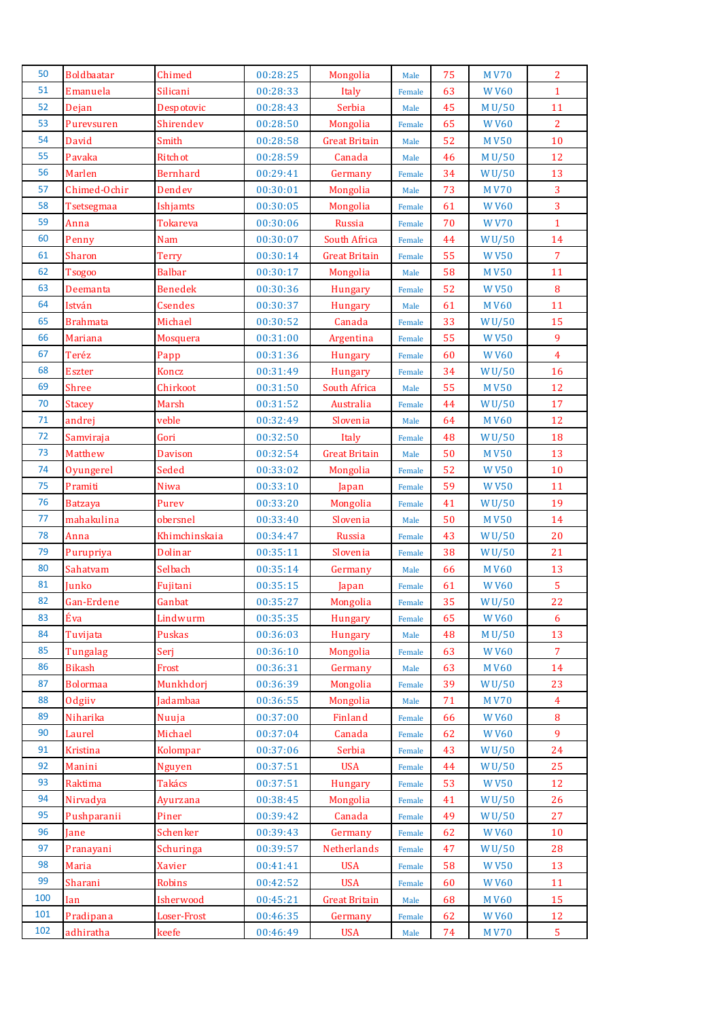| 50  | <b>Boldbaatar</b> | Chimed          | 00:28:25 | Mongolia             | Male   | 75 | <b>MV70</b>        | $\overline{2}$ |
|-----|-------------------|-----------------|----------|----------------------|--------|----|--------------------|----------------|
| 51  | Emanuela          | Silicani        | 00:28:33 | Italy                | Female | 63 | <b>WV60</b>        | $\mathbf{1}$   |
| 52  | Dejan             | Despotovic      | 00:28:43 | Serbia               | Male   | 45 | M U/50             | 11             |
| 53  | Purevsuren        | Shirendev       | 00:28:50 | Mongolia             | Female | 65 | <b>WV60</b>        | $\overline{2}$ |
| 54  | David             | Smith           | 00:28:58 | <b>Great Britain</b> | Male   | 52 | <b>MV50</b>        | 10             |
| 55  | Pavaka            | Ritchot         | 00:28:59 | Canada               | Male   | 46 | M U/50             | 12             |
| 56  | Marlen            | <b>Bernhard</b> | 00:29:41 | Germany              | Female | 34 | WU/50              | 13             |
| 57  | Chimed-Ochir      | Dendev          | 00:30:01 | Mongolia             | Male   | 73 | <b>MV70</b>        | $\overline{3}$ |
| 58  | Tsetsegmaa        | Ishjamts        | 00:30:05 | Mongolia             | Female | 61 | <b>WV60</b>        | $\overline{3}$ |
| 59  | Anna              | <b>Tokareva</b> | 00:30:06 | Russia               | Female | 70 | <b>WV70</b>        | $\mathbf{1}$   |
| 60  | Penny             | Nam             | 00:30:07 | South Africa         | Female | 44 | <b>WU/50</b>       | 14             |
| 61  | Sharon            | <b>Terry</b>    | 00:30:14 | <b>Great Britain</b> | Female | 55 | <b>WV50</b>        | $\overline{7}$ |
| 62  | <b>Tsogoo</b>     | <b>Balbar</b>   | 00:30:17 | Mongolia             | Male   | 58 | <b>MV50</b>        | 11             |
| 63  | Deemanta          | <b>Benedek</b>  | 00:30:36 | <b>Hungary</b>       | Female | 52 | <b>WV50</b>        | $\bf 8$        |
| 64  | István            | <b>Csendes</b>  | 00:30:37 | Hungary              | Male   | 61 | <b>MV60</b>        | 11             |
| 65  | <b>Brahmata</b>   | Michael         | 00:30:52 | Canada               | Female | 33 | WU/50              | 15             |
| 66  | <b>Mariana</b>    | Mosquera        | 00:31:00 | Argentina            | Female | 55 | <b>WV50</b>        | 9              |
| 67  | Teréz             | Papp            | 00:31:36 | Hungary              | Female | 60 | <b>WV60</b>        | $\overline{4}$ |
| 68  | <b>Eszter</b>     | Koncz           | 00:31:49 | Hungary              | Female | 34 | WU/50              | 16             |
| 69  | Shree             | Chirkoot        | 00:31:50 | South Africa         | Male   | 55 | <b>MV50</b>        | 12             |
| 70  | <b>Stacey</b>     | Marsh           | 00:31:52 | Australia            | Female | 44 | W <sub>U</sub> /50 | 17             |
| 71  | andrej            | veble           | 00:32:49 | Slovenia             | Male   | 64 | <b>MV60</b>        | 12             |
| 72  | Samviraja         | Gori            | 00:32:50 | Italy                | Female | 48 | WU/50              | 18             |
| 73  | Matthew           | <b>Davison</b>  | 00:32:54 | <b>Great Britain</b> | Male   | 50 | <b>MV50</b>        | 13             |
| 74  | Oyungerel         | Seded           | 00:33:02 | Mongolia             | Female | 52 | <b>WV50</b>        | 10             |
| 75  | Pramiti           | Niwa            | 00:33:10 | Japan                | Female | 59 | <b>WV50</b>        | 11             |
| 76  | <b>Batzaya</b>    | Purev           | 00:33:20 | Mongolia             | Female | 41 | WU/50              | 19             |
| 77  | mahakulina        | obersnel        | 00:33:40 | Slovenia             | Male   | 50 | <b>MV50</b>        | 14             |
| 78  | Anna              | Khimchinskaia   | 00:34:47 | Russia               | Female | 43 | WU/50              | 20             |
| 79  | Purupriya         | <b>Dolinar</b>  | 00:35:11 | Slovenia             | Female | 38 | WU/50              | 21             |
| 80  | Sahatvam          | Selbach         | 00:35:14 | Germany              | Male   | 66 | <b>MV60</b>        | 13             |
| 81  | Junko             | Fujitani        | 00:35:15 | Japan                | Female | 61 | <b>WV60</b>        | $\overline{5}$ |
| 82  | Gan-Erdene        | Ganbat          | 00:35:27 | Mongolia             | Female | 35 | WU/50              | 22             |
| 83  | Éva               | Lindwurm        | 00:35:35 | Hungary              | Female | 65 | <b>WV60</b>        | 6              |
| 84  | Tuvijata          | <b>Puskas</b>   | 00:36:03 | Hungary              | Male   | 48 | M U/50             | 13             |
| 85  | Tungalag          | Serj            | 00:36:10 | Mongolia             | Female | 63 | <b>WV60</b>        | $\overline{7}$ |
| 86  | <b>Bikash</b>     | Frost           | 00:36:31 | Germany              | Male   | 63 | <b>MV60</b>        | 14             |
| 87  | <b>Bolormaa</b>   | Munkhdorj       | 00:36:39 | Mongolia             | Female | 39 | W <sub>U</sub> /50 | 23             |
| 88  | Odgiiv            | Jadambaa        | 00:36:55 | Mongolia             | Male   | 71 | <b>MV70</b>        | $\overline{4}$ |
| 89  | Niharika          | Nuuja           | 00:37:00 | Finland              | Female | 66 | <b>WV60</b>        | 8              |
| 90  | Laurel            | Michael         | 00:37:04 | Canada               | Female | 62 | <b>WV60</b>        | 9              |
| 91  | Kristina          | Kolompar        | 00:37:06 | Serbia               | Female | 43 | WU/50              | 24             |
| 92  | Manini            | <b>Nguyen</b>   | 00:37:51 | <b>USA</b>           | Female | 44 | WU/50              | 25             |
| 93  | Raktima           | Takács          | 00:37:51 | <b>Hungary</b>       | Female | 53 | <b>WV50</b>        | 12             |
| 94  | Nirvadya          | Ayurzana        | 00:38:45 | Mongolia             | Female | 41 | WU/50              | 26             |
| 95  | Pushparanii       | Piner           | 00:39:42 | Canada               | Female | 49 | WU/50              | 27             |
| 96  | Jane              | Schenker        | 00:39:43 | Germany              | Female | 62 | <b>WV60</b>        | 10             |
| 97  | Pranayani         | Schuringa       | 00:39:57 | Netherlands          | Female | 47 | WU/50              | 28             |
| 98  | Maria             | <b>Xavier</b>   | 00:41:41 | <b>USA</b>           | Female | 58 | <b>WV50</b>        | 13             |
| 99  | Sharani           | Robins          | 00:42:52 | <b>USA</b>           | Female | 60 | <b>WV60</b>        | 11             |
| 100 | Ian               | Isherwood       | 00:45:21 | <b>Great Britain</b> | Male   | 68 | <b>MV60</b>        | 15             |
| 101 | Pradipana         | Loser-Frost     | 00:46:35 | Germany              | Female | 62 | <b>WV60</b>        | 12             |
|     |                   | keefe           | 00:46:49 | <b>USA</b>           | Male   | 74 | <b>MV70</b>        | 5 <sub>1</sub> |
| 102 | adhiratha         |                 |          |                      |        |    |                    |                |